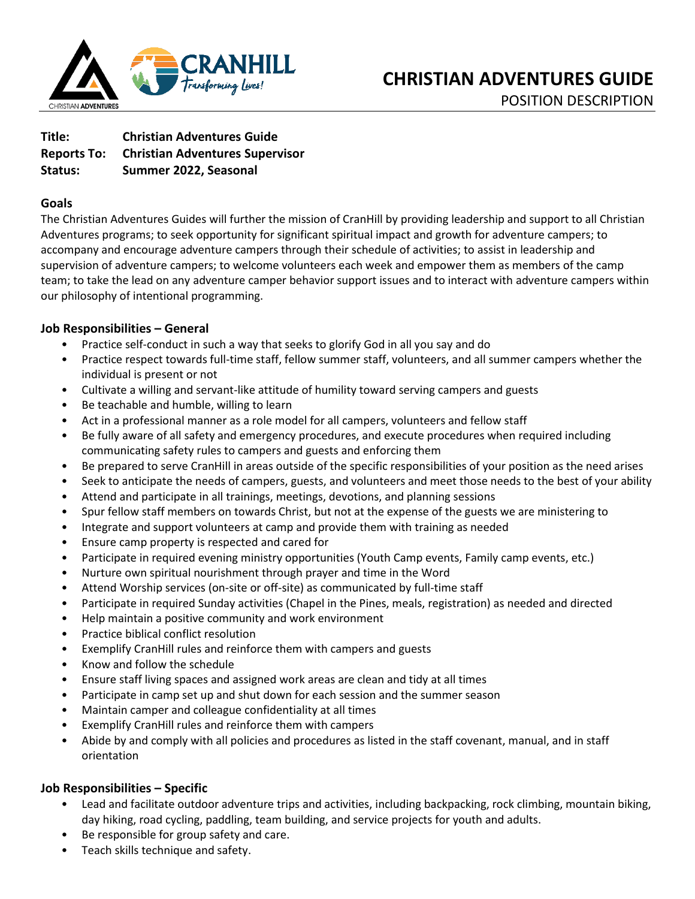

| Title:             | <b>Christian Adventures Guide</b>      |
|--------------------|----------------------------------------|
| <b>Reports To:</b> | <b>Christian Adventures Supervisor</b> |
| Status:            | Summer 2022, Seasonal                  |

# **Goals**

The Christian Adventures Guides will further the mission of CranHill by providing leadership and support to all Christian Adventures programs; to seek opportunity for significant spiritual impact and growth for adventure campers; to accompany and encourage adventure campers through their schedule of activities; to assist in leadership and supervision of adventure campers; to welcome volunteers each week and empower them as members of the camp team; to take the lead on any adventure camper behavior support issues and to interact with adventure campers within our philosophy of intentional programming.

# **Job Responsibilities – General**

- Practice self-conduct in such a way that seeks to glorify God in all you say and do
- Practice respect towards full-time staff, fellow summer staff, volunteers, and all summer campers whether the individual is present or not
- Cultivate a willing and servant-like attitude of humility toward serving campers and guests
- Be teachable and humble, willing to learn
- Act in a professional manner as a role model for all campers, volunteers and fellow staff
- Be fully aware of all safety and emergency procedures, and execute procedures when required including communicating safety rules to campers and guests and enforcing them
- Be prepared to serve CranHill in areas outside of the specific responsibilities of your position as the need arises
- Seek to anticipate the needs of campers, guests, and volunteers and meet those needs to the best of your ability
- Attend and participate in all trainings, meetings, devotions, and planning sessions
- Spur fellow staff members on towards Christ, but not at the expense of the guests we are ministering to
- Integrate and support volunteers at camp and provide them with training as needed
- Ensure camp property is respected and cared for
- Participate in required evening ministry opportunities (Youth Camp events, Family camp events, etc.)
- Nurture own spiritual nourishment through prayer and time in the Word
- Attend Worship services (on-site or off-site) as communicated by full-time staff
- Participate in required Sunday activities (Chapel in the Pines, meals, registration) as needed and directed
- Help maintain a positive community and work environment
- Practice biblical conflict resolution
- Exemplify CranHill rules and reinforce them with campers and guests
- Know and follow the schedule
- Ensure staff living spaces and assigned work areas are clean and tidy at all times
- Participate in camp set up and shut down for each session and the summer season
- Maintain camper and colleague confidentiality at all times
- Exemplify CranHill rules and reinforce them with campers
- Abide by and comply with all policies and procedures as listed in the staff covenant, manual, and in staff orientation

# **Job Responsibilities – Specific**

- Lead and facilitate outdoor adventure trips and activities, including backpacking, rock climbing, mountain biking, day hiking, road cycling, paddling, team building, and service projects for youth and adults.
- Be responsible for group safety and care.
- Teach skills technique and safety.